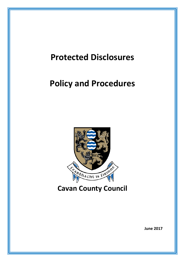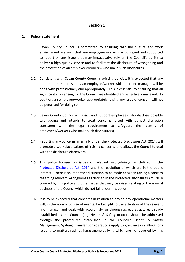# **Section 1**

## **1. Policy Statement**

- **1.1** Cavan County Council is committed to ensuring that the culture and work environment are such that any employee/worker is encouraged and supported to report on any issue that may impact adversely on the Council's ability to deliver a high quality service and to facilitate the disclosure of wrongdoing and the protection of an employee/worker(s) who make such disclosures.
- **1.2** Consistent with Cavan County Council's existing policies, it is expected that any appropriate issue raised by an employee/worker with their line manager will be dealt with professionally and appropriately. This is essential to ensuring that all significant risks arising for the Council are identified and effectively managed. In addition, an employee/worker appropriately raising any issue of concern will not be penalised for doing so.
- **1.3** Cavan County Council will assist and support employees who disclose possible wrongdoing and intends to treat concerns raised with utmost discretion consistent with the legal requirement to safeguard the identity of employees/workers who make such disclosure(s).
- **1.4** Reporting any concerns internally under the Protected Disclosures Act, 2014, will promote a workplace culture of 'raising concerns' and allows the Council to deal with the disclosure effectively.
- **1.5** This policy focuses on issues of relevant wrongdoings (as defined in the [Protected Disclosures Act, 2014](http://www.irishstatutebook.ie/eli/2014/act/14/enacted/en/print.html) and the resolution of which are in the public interest.There is an important distinction to be made between raising a concern regarding relevant wrongdoings as defined in the Protected Disclosures Act, 2014 covered by this policy and other issues that may be raised relating to the normal business of the Council which do not fall under this policy.
- **1.6** It is to be expected that concerns in relation to day to day operational matters will, in the normal course of events, be brought to the attention of the relevant line manager and dealt with accordingly, or through agreed structures already established by the Council (e.g. Health & Safety matters should be addressed through the procedures established in the Council's Health & Safety Management System). Similar considerations apply to grievances or allegations relating to matters such as harassment/bullying which are not covered by this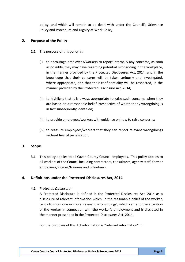policy, and which will remain to be dealt with under the Council's Grievance Policy and Procedure and Dignity at Work Policy.

## **2. Purpose of the Policy**

- **2.1** The purpose of this policy is:
	- (i) to encourage employees/workers to report internally any concerns, as soon as possible, they may have regarding potential wrongdoing in the workplace, in the manner provided by the Protected Disclosures Act, 2014; and in the knowledge that their concerns will be taken seriously and investigated, where appropriate, and that their confidentiality will be respected, in the manner provided by the Protected Disclosure Act, 2014;
	- (ii) to highlight that it is always appropriate to raise such concerns when they are based on a reasonable belief irrespective of whether any wrongdoing is in fact subsequently identified;
	- (iii) to provide employees/workers with guidance on how to raise concerns;
	- (iv) to reassure employees/workers that they can report relevant wrongdoings without fear of penalisation.

## **3. Scope**

**3.1** This policy applies to all Cavan County Council employees. This policy applies to all workers of the Council including contractors, consultants, agency staff, former employees, interns/trainees and volunteers.

# **4. Definitions under the Protected Disclosures Act, 2014**

## **4.1** *Protected Disclosure;*

A Protected Disclosure is defined in the Protected Disclosures Act, 2014 as a disclosure of relevant information which, in the reasonable belief of the worker, tends to show one or more 'relevant wrongdoings', which came to the attention of the worker in connection with the worker's employment and is disclosed in the manner prescribed in the Protected Disclosures Act, 2014.

For the purposes of this Act information is "relevant information" if;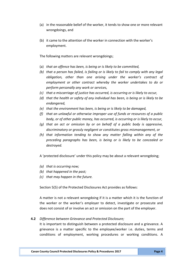- (a) in the reasonable belief of the worker, it tends to show one or more relevant wrongdoings, and
- (b) it came to the attention of the worker in connection with the worker's employment.

The following matters are relevant wrongdoings;

- (a) *that an offence has been, is being or is likely to be committed,*
- *(b) that a person has failed, is failing or is likely to fail to comply with any legal obligation, other than one arising under the worker's contract of employment or other contract whereby the worker undertakes to do or perform personally any work or services,*
- *(c) that a miscarriage of justice has occurred, is occurring or is likely to occur,*
- *(d) that the health or safety of any individual has been, is being or is likely to be endangered,*
- *(e) that the environment has been, is being or is likely to be damaged,*
- *(f) that an unlawful or otherwise improper use of funds or resources of a public body, or of other public money, has occurred, is occurring or is likely to occur,*
- *(g) that an act or omission by or on behalf of a public body is oppressive, discriminatory or grossly negligent or constitutes gross mismanagement, or*
- *(h) that information tending to show any matter falling within any of the preceding paragraphs has been, is being or is likely to be concealed or destroyed.*

A 'protected disclosure' under this policy may be about a relevant wrongdoing;

- *(a) that is occurring now;*
- *(b) that happened in the past;*
- *(c) that may happen in the future.*

Section 5(5) of the Protected Disclosures Act provides as follows:

A matter is not a relevant wrongdoing if it is a matter which it is the function of the worker or the worker's employer to detect, investigate or prosecute and does not consist of or involve an act or omission on the part of the employer.

#### **4.2** *Difference between Grievance and Protected Disclosure;*

It is important to distinguish between a protected disclosure and a grievance. A grievance is a matter specific to the employee/worker i.e. duties, terms and conditions of employment, working procedures or working conditions. A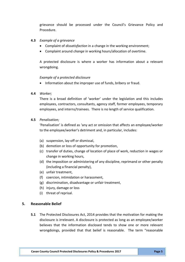grievance should be processed under the Council's Grievance Policy and Procedure.

#### **4.3** *Example of a grievance*

- Complaint of *dissatisfaction* in a change in the working environment;
- Complaint around *change* in working hours/allocation of overtime.

A protected disclosure is where a worker has information about a relevant wrongdoing.

#### *Example of a protected disclosure*

• Information about the improper use of funds, bribery or fraud.

#### **4.4** *Worker;*

There is a broad definition of 'worker' under the legislation and this includes employees, contractors, consultants, agency staff, former employees, temporary employees, and interns/trainees. There is no length of service qualification.

#### **4.5** *Penalisation;*

'Penalisation' is defined as 'any act or omission that affects an employee/worker to the employee/worker's detriment and, in particular, includes:

- (a) suspension, lay-off or dismissal,
- (b) demotion or loss of opportunity for promotion,
- (c) transfer of duties, change of location of place of work, reduction in wages or change in working hours,
- (d) the imposition or administering of any discipline, reprimand or other penalty (including a financial penalty),
- (e) unfair treatment,
- (f) coercion, intimidation or harassment,
- (g) discrimination, disadvantage or unfair treatment,
- (h) injury, damage or loss
- (i) threat of reprisal.

## **5. Reasonable Belief**

**5.1** The Protected Disclosures Act, 2014 provides that the motivation for making the disclosure is irrelevant. A disclosure is protected as long as an employee/worker believes that the information disclosed tends to show one or more relevant wrongdoings, provided that that belief is reasonable. The term "reasonable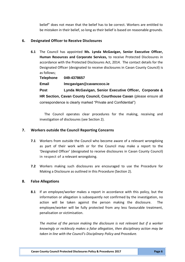belief" does not mean that the belief has to be correct. Workers are entitled to be mistaken in their belief, so long as their belief is based on reasonable grounds.

## **6. Designated Officer to Receive Disclosures**

**6.1** The Council has appointed **Ms. Lynda McGavigan, Senior Executive Officer, Human Resources and Corporate Services,** to receive Protected Disclosures in accordance with the Protected Disclosures Act, 2014. The contact details for the Designated Officer (designated to receive disclosures in Cavan County Council) is as follows;

| Telephone                                                             | 049-4378657                                            |  |
|-----------------------------------------------------------------------|--------------------------------------------------------|--|
| Email                                                                 | Imcgavigan@cavancoco.ie                                |  |
| Post                                                                  | Lynda McGavigan, Senior Executive Officer, Corporate & |  |
| HR Section, Cavan County Council, Courthouse Cavan (please ensure all |                                                        |  |
| correspondence is clearly marked "Private and Confidential")          |                                                        |  |

The Council operates clear procedures for the making, receiving and investigation of disclosures (see Section 2).

## **7. Workers outside the Council Reporting Concerns**

- **7.1** Workers from outside the Council who become aware of a relevant wrongdoing as part of their work with or for the Council may make a report to the 'Designated Officer' (designated to receive disclosures in Cavan County Council) in respect of a relevant wrongdoing.
- **7.2** Workers making such disclosures are encouraged to use the Procedure for Making a Disclosure as outlined in this Procedure (Section 2).

# **8. False Allegations**

**8.1** If an employee/worker makes a report in accordance with this policy, but the information or allegation is subsequently not confirmed by the investigation, no action will be taken against the person making the disclosure. The employee/worker will be fully protected from any less favourable treatment, penalisation or victimisation.

*The motive of the person making the disclosure is not relevant but if a worker knowingly or recklessly makes a false allegation, then disciplinary action may be taken in line with the Council's Disciplinary Policy and Procedure.*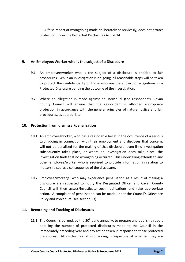A false report of wrongdoing made deliberately or recklessly, does not attract protection under the Protected Disclosures Act, 2014.

# **9. An Employee/Worker who is the subject of a Disclosure**

- **9.1** An employee/worker who is the subject of a disclosure is entitled to fair procedures. While an investigation is on-going, all reasonable steps will be taken to protect the confidentiality of those who are the subject of allegations in a Protected Disclosure pending the outcome of the investigation.
- **9.2** Where an allegation is made against an individual (the respondent), Cavan County Council will ensure that the respondent is afforded appropriate protection in accordance with the general principles of natural justice and fair procedures, as appropriate.

## **10. Protection from dismissal/penalisation**

- **10.1** An employee/worker, who has a reasonable belief in the occurrence of a serious wrongdoing in connection with their employment and discloses that concern, will not be penalised for the making of that disclosure, even if no investigation subsequently takes place, or where an investigation does take place, the investigation finds that no wrongdoing occurred. This undertaking extends to any other employee/worker who is required to provide information in relation to matters raised as a consequence of the disclosure.
- **10.2** Employee/worker(s) who may experience penalisation as a result of making a disclosure are requested to notify the Designated Officer and Cavan County Council will then assess/investigate such notifications and take appropriate action. A complaint of penalisation can be made under the Council's Grievance Policy and Procedure (see section 23).

# **11. Recording and Tracking of Disclosures**

**11.1** The Council is obliged, by the 30<sup>th</sup> June annually, to prepare and publish a report detailing the number of protected disclosures made to the Council in the immediately preceding year and any action taken in response to those protected disclosures. All disclosures of wrongdoing, irrespective of whether they are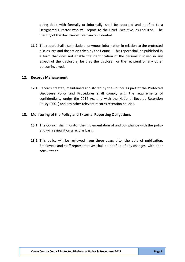being dealt with formally or informally, shall be recorded and notified to a Designated Director who will report to the Chief Executive, as required. The identity of the discloser will remain confidential.

**11.2** The report shall also include anonymous information in relation to the protected disclosures and the action taken by the Council. This report shall be published in a form that does not enable the identification of the persons involved in any aspect of the disclosure, be they the discloser, or the recipient or any other person involved.

## **12. Records Management**

**12.1** Records created, maintained and stored by the Council as part of the Protected Disclosure Policy and Procedures shall comply with the requirements of confidentiality under the 2014 Act and with the National Records Retention Policy (2001) and any other relevant records retention policies.

## **13. Monitoring of the Policy and External Reporting Obligations**

- **13.1** The Council shall monitor the implementation of and compliance with the policy and will review it on a regular basis.
- **13.2** This policy will be reviewed from three years after the date of publication. Employees and staff representatives shall be notified of any changes, with prior consultation.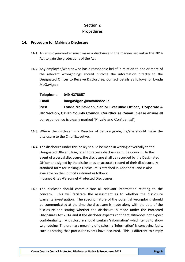# **Section 2 Procedures**

## **14. Procedure for Making a Disclosure**

- **14.1** An employee/worker must make a disclosure in the manner set out in the 2014 Act to gain the protections of the Act
- **14.2** Any employee/worker who has a reasonable belief in relation to one or more of the relevant wrongdoings should disclose the information directly to the Designated Officer to Receive Disclosures. Contact details as follows for Lynda McGavigan;

**Telephone 049-4378657 Email [lmcgavigan@cavancoco.ie](mailto:lmcgavigan@cavancoco.ie) Post Lynda McGavigan, Senior Executive Officer, Corporate & HR Section, Cavan County Council, Courthouse Cavan** (please ensure all correspondence is clearly marked "Private and Confidential")

- **14.3** Where the discloser is a Director of Service grade, he/she should make the disclosure to the Chief Executive.
- **14.4** The disclosure under this policy should be made in writing or verbally to the Designated Officer (designated to receive disclosures in the Council). In the event of a verbal disclosure, the disclosure shall be recorded by the Designated Officer and signed by the discloser as an accurate record of their disclosure. A standard form for Making a Disclosure is attached in Appendix I and is also available on the Council's intranet as follows: Intranet>Sites>Personnel>Protected Disclosures.
- **14.5** The discloser should communicate all relevant information relating to the concern. This will facilitate the assessment as to whether the disclosure warrants investigation. The specific nature of the potential wrongdoing should be communicated at the time the disclosure is made along with the date of the disclosure and stating whether the disclosure is made under the Protected Disclosures Act 2014 and if the discloser expects confidentiality/does not expect confidentiality. A disclosure should contain 'information' which tends to show wrongdoing. The ordinary meaning of disclosing 'information' is conveying facts, such as stating that particular events have occurred. This is different to simply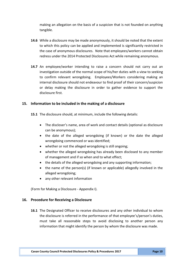making an allegation on the basis of a suspicion that is not founded on anything tangible.

- **14.6** While a disclosure may be made anonymously, it should be noted that the extent to which this policy can be applied and implemented is significantly restricted in the case of anonymous disclosures. Note that employees/workers cannot obtain redress under the 2014 Protected Disclosures Act while remaining anonymous.
- **14.7** An employee/worker intending to raise a concern should not carry out an investigation outside of the normal scope of his/her duties with a view to seeking to confirm relevant wrongdoing. Employees/Workers considering making an internal disclosure should not endeavour to find proof of their concern/suspicion or delay making the disclosure in order to gather evidence to support the disclosure first.

## **15. Information to be included in the making of a disclosure**

**15.1** The disclosure should, at minimum, include the following details:

- The discloser's name, area of work and contact details (optional as disclosure can be anonymous);
- the date of the alleged wrongdoing (if known) or the date the alleged wrongdoing commenced or was identified;
- whether or not the alleged wrongdoing is still ongoing;
- whether the alleged wrongdoing has already been disclosed to any member of management and if so when and to what effect;
- the details of the alleged wrongdoing and any supporting information;
- the name of the person(s) (if known or applicable) allegedly involved in the alleged wrongdoing;
- any other relevant information

(Form for Making a Disclosure - Appendix I).

## **16. Procedure for Receiving a Disclosure**

**16.1** The Designated Officer to receive disclosures and any other individual to whom the disclosure is referred in the performance of that employee's/person's duties, must take all reasonable steps to avoid disclosing to another person any information that might identify the person by whom the disclosure was made.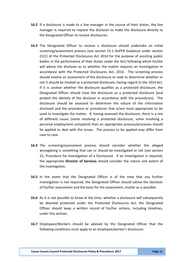- **16.2** If a disclosure is made to a line manager in the course of their duties, the line manager is required to request the discloser to make the disclosure directly to the Designated Officer to receive disclosures.
- **16.3** The Designated Officer to receive a disclosure should undertake an initial screening/assessment process (see section 15.1 DoPER Guidance under section 21(1) of the Protected Disclosures Act 2014 for the purpose of assisting public bodies in the performance of their duties under the Act) following which he/she will advise the discloser as to whether the matter requires an investigation in accordance with the Protected Disclosures Act, 2014. The screening process should involve an assessment of the disclosure to seek to determine whether or not it should be treated as a protected disclosure, having regard to the 2014 Act. If it is unclear whether the disclosure qualifies as a protected disclosure, the Designated Officer should treat the disclosure as a protected disclosure (and protect the identity of the discloser in accordance with the procedures). The disclosure should be assessed to determine the nature of the information disclosed and the procedure or procedures that is/are most appropriate to be used to investigate the matter. If, having assessed the disclosure, there is a mix of different issues (some involving a protected disclosure, some involving a personal employment complaint) then an appropriate process/processes should be applied to deal with the issues. The process to be applied may differ from case to case.
- **16.4** The screening/assessment process should consider whether the alleged wrongdoing is something that can or should be investigated or not (see section 21; Procedure for Investigation of a Disclosure). If an investigation is required, the appropriate **Director of Services** should consider the nature and extent of the investigation.
- **16.5** In the event that the Designated Officer is of the view that any further investigation is not required, the Designated Officer should advise the discloser of his/her assessment and the basis for the assessment, insofar as is possible.
- **16.6** As it is not possible to know at the time, whether a disclosure will subsequently be deemed protected under the Protected Disclosures Act, the Designated Officer should keep a written record of his/her actions, including timelines, under this section.
- **16.7** Employees/Workers should be advised by the Designated Officer that the following conditions must apply to an employee/worker's disclosure: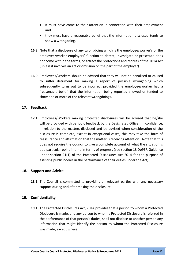- It must have come to their attention in connection with their employment and
- they must have a reasonable belief that the information disclosed tends to show a wrongdoing.
- **16.8** Note that a disclosure of any wrongdoing which is the employee/worker's or the employee/worker employers' function to detect, investigate or prosecute does not come within the terms, or attract the protections and redress of the 2014 Act (unless it involves an act or omission on the part of the employer).
- **16.9** Employees/Workers should be advised that they will not be penalised or caused to suffer detriment for making a report of possible wrongdoing which subsequently turns out to be incorrect provided the employee/worker had a 'reasonable belief' that the information being reported showed or tended to show one or more of the relevant wrongdoings.

# **17. Feedback**

**17.1** Employees/Workers making protected disclosures will be advised that he/she will be provided with periodic feedback by the Designated Officer, in confidence, in relation to the matters disclosed and be advised when consideration of the disclosure is complete, except in exceptional cases; this may take the form of reassurance and affirmation that the matter is receiving attention. Note that this does not require the Council to give a complete account of what the situation is at a particular point in time in terms of progress (see section 18 DoPER Guidance under section 21(1) of the Protected Disclosures Act 2014 for the purpose of assisting public bodies in the performance of their duties under the Act).

## **18. Support and Advice**

**18.1** The Council is committed to providing all relevant parties with any necessary support during and after making the disclosure.

## **19. Confidentiality**

**19.1** The Protected Disclosures Act, 2014 provides that a person to whom a Protected Disclosure is made, and any person to whom a Protected Disclosure is referred in the performance of that person's duties, shall not disclose to another person any information that might identify the person by whom the Protected Disclosure was made, except where: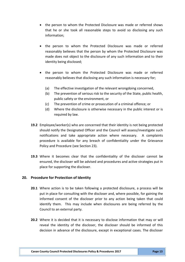- the person to whom the Protected Disclosure was made or referred shows that he or she took all reasonable steps to avoid so disclosing any such information;
- the person to whom the Protected Disclosure was made or referred reasonably believes that the person by whom the Protected Disclosure was made does not object to the disclosure of any such information and to their identity being disclosed;
- the person to whom the Protected Disclosure was made or referred reasonably believes that disclosing any such information is necessary for;
	- (a) The effective investigation of the relevant wrongdoing concerned,
	- (b) The prevention of serious risk to the security of the State, public health, public safety or the environment, or
	- (c) The prevention of crime or prosecution of a criminal offence; or
	- (d) Where the disclosure is otherwise necessary in the public interest or is required by law.
- **19.2** Employee/worker(s) who are concerned that their identity is not being protected should notify the Designated Officer and the Council will assess/investigate such notifications and take appropriate action where necessary. A complaints procedure is available for any breach of confidentiality under the Grievance Policy and Procedure (see Section 23).
- **19.3** Where it becomes clear that the confidentiality of the discloser cannot be ensured, the discloser will be advised and procedures and active strategies put in place for supporting the discloser.

# **20. Procedure for Protection of Identity**

- **20.1** Where action is to be taken following a protected disclosure, a process will be put in place for consulting with the discloser and, where possible, for gaining the informed consent of the discloser prior to any action being taken that could identify them. This may include when disclosures are being referred by the Council to an external party.
- **20.2** Where it is decided that it is necessary to disclose information that may or will reveal the identity of the discloser, the discloser should be informed of this decision in advance of the disclosure, except in exceptional cases. The discloser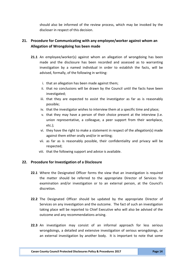should also be informed of the review process, which may be invoked by the discloser in respect of this decision.

# **21. Procedure for Communicating with any employee/worker against whom an Allegation of Wrongdoing has been made**

- **21.1** An employee/worker(s) against whom an allegation of wrongdoing has been made and the disclosure has been recorded and assessed as to warranting investigation by a named individual in order to establish the facts, will be advised, formally, of the following in writing:
	- i. that an allegation has been made against them;
	- ii. that no conclusions will be drawn by the Council until the facts have been investigated;
	- iii. that they are expected to assist the investigator as far as is reasonably possible;
	- iv. that the investigator wishes to interview them at a specific time and place;
	- v. that they may have a person of their choice present at the interview (i.e. union representative, a colleague, a peer support from their workplace, etc.);
	- vi. they have the right to make a statement in respect of the allegation(s) made against them either orally and/or in writing;
	- vii. as far as is reasonably possible, their confidentiality and privacy will be respected;
	- viii. that the following support and advice is available.

# **22. Procedure for Investigation of a Disclosure**

- **22.1** Where the Designated Officer forms the view that an investigation is required the matter should be referred to the appropriate Director of Services for examination and/or investigation or to an external person, at the Council's discretion.
- **22.2** The Designated Officer should be updated by the appropriate Director of Services on any investigation and the outcome. The fact of such an investigation taking place will be reported to Chief Executive who will also be advised of the outcome and any recommendations arising.
- **22.3** An investigation may consist of an informal approach for less serious wrongdoings, a detailed and extensive investigation of serious wrongdoings, or an external investigation by another body. It is important to note that some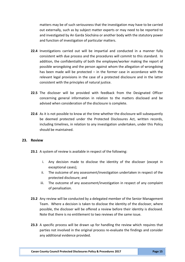matters may be of such seriousness that the investigation may have to be carried out externally, such as by subject matter experts or may need to be reported to and investigated by An Garda Síochána or another body with the statutory power and function of investigation of particular matters.

- **22.4** Investigations carried out will be impartial and conducted in a manner fully consistent with due process and the procedures will commit to this standard. In addition, the confidentiality of both the employee/worker making the report of possible wrongdoing and the person against whom the allegation of wrongdoing has been made will be protected – in the former case in accordance with the relevant legal provisions in the case of a protected disclosure and in the latter consistent with the principles of natural justice.
- **22.5** The discloser will be provided with feedback from the Designated Officer concerning general information in relation to the matters disclosed and be advised when consideration of the disclosure is complete.
- **22.6** As it is not possible to know at the time whether the disclosure will subsequently be deemed protected under the Protected Disclosures Act, written records, including timelines, in relation to any investigation undertaken, under this Policy should be maintained.

## **23. Review**

- **23.1** A system of review is available in respect of the following:
	- i. Any decision made to disclose the identity of the discloser (except in exceptional cases);
	- ii. The outcome of any assessment/investigation undertaken in respect of the protected disclosure; and
	- iii. The outcome of any assessment/investigation in respect of any complaint of penalisation.
- **23.2** Any review will be conducted by a delegated member of the Senior Management Team. Where a decision is taken to disclose the identity of the discloser, where possible, the discloser will be offered a review before their identity is disclosed. Note that there is no entitlement to two reviews of the same issue.
- **23.3** A specific process will be drawn up for handling the review which requires that parties not involved in the original process re-evaluate the findings and consider any additional evidence provided.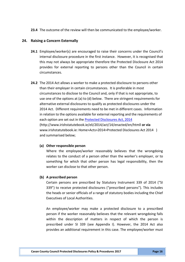**23.4** The outcome of the review will then be communicated to the employee/worker.

#### **24. Raising a Concern Externally**

- **24.1** Employee/worker(s) are encouraged to raise their concerns under the Council's internal disclosure procedure in the first instance. However, it is recognised that this may not always be appropriate therefore the Protected Disclosure Act 2014 provides for external reporting to persons other than the Council in certain circumstances.
- **24.2** The 2014 Act allows a worker to make a protected disclosure to persons other than their employer in certain circumstances. It is preferable in most circumstances to disclose to the Council and, only if that is not appropriate, to use one of the options at (a) to (d) below. There are stringent requirements for alternative external disclosures to qualify as protected disclosures under the 2014 Act. Different requirements need to be met in different cases. Information in relation to the options available for external reporting and the requirements of each option are set out in the Protected [Disclosures Act, 2014](http://www.irishstatutebook.ie/eli/2014/act/14/enacted/en/print.html) [\(http://www.irishstatutebook.ie/eli/2014/act/14/enacted/en/htmll](http://www.irishstatutebook.ie/eli/2014/act/14/enacted/en/print.html) **or via** [www.irishstatutebook.ie:](http://www.irishstatutebook.ie/) Home>Acts>2014>Protected Disclosures Act 2014 ) and summarised below;

#### **(a) Other responsible person**

Where the employee/worker reasonably believes that the wrongdoing relates to the conduct of a person other than the worker's employer, or to something for which that other person has legal responsibility, then the worker can disclose to that other person.

#### **(b) A prescribed person**

Certain persons are prescribed by Statutory Instrument 339 of 2014 ("SI 339") to receive protected disclosures ("prescribed persons"). This includes the heads or senior officials of a range of statutory bodies including the Chief Executives of Local Authorities.

An employee/worker may make a protected disclosure to a prescribed person if the worker reasonably believes that the relevant wrongdoing falls within the description of matters in respect of which the person is prescribed under SI 339 (see Appendix I). However, the 2014 Act also provides an additional requirement in this case. The employee/worker must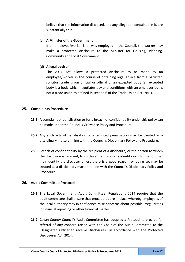believe that the information disclosed, and any allegation contained in it, are substantially true.

#### **(c) A Minister of the Government**

If an employee/worker is or was employed in the Council, the worker may make a protected disclosure to the Minister for Housing, Planning, Community and Local Government.

#### **(d) A legal adviser**

The 2014 Act allows a protected disclosure to be made by an employee/worker in the course of obtaining legal advice from a barrister, solicitor, trade union official or official of an excepted body (an excepted body is a body which negotiates pay and conditions with an employer but is not a trade union as defined in section 6 of the Trade Union Act 1941).

## **25. Complaints Procedure**

- **25.1** A complaint of penalisation or for a breach of confidentiality under this policy can be made under the Council's Grievance Policy and Procedure.
- **25.2** Any such acts of penalisation or attempted penalisation may be treated as a disciplinary matter, in line with the Council's Disciplinary Policy and Procedure.
- **25.3** Breach of confidentiality by the recipient of a disclosure, or the person to whom the disclosure is referred, to disclose the discloser's identity or information that may identify the discloser unless there is a good reason for doing so, may be treated as a disciplinary matter, in line with the Council's Disciplinary Policy and Procedure.

#### **26. Audit Committee Protocol**

- **26.1** The Local Government (Audit Committee) Regulations 2014 require that the audit committee shall ensure that procedures are in place whereby employees of the local authority may in confidence raise concerns about possible irregularities in financial reporting or other financial matters.
- **26.2** Cavan County Council's Audit Committee has adopted a Protocol to provide for referral of any concern raised with the Chair of the Audit Committee to the 'Designated Officer to receive Disclosures', in accordance with the Protected Disclosures Act, 2014.